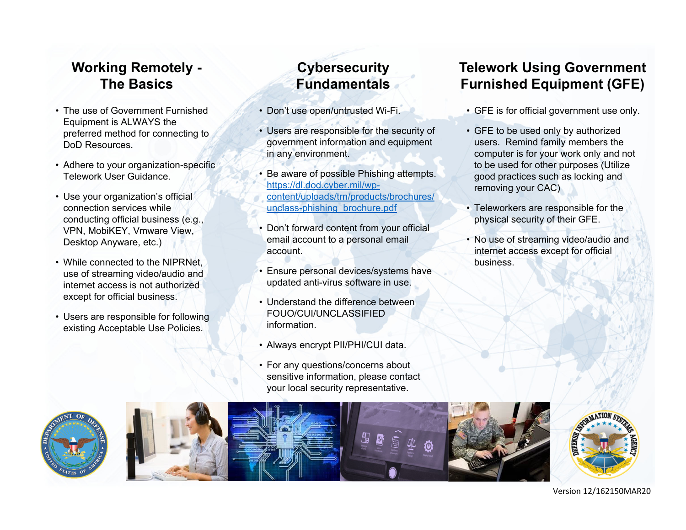### **Working Remotely - The Basics**

- The use of Government Furnished Equipment is ALWAYS the preferred method for connecting to DoD Resources.
- Adhere to your organization-specific Telework User Guidance.
- Use your organization's official connection services while conducting official business (e.g., VPN, MobiKEY, Vmware View, Desktop Anyware, etc.)
- While connected to the NIPRNet, use of streaming video/audio and internet access is not authorized except for official business.
- Users are responsible for following existing Acceptable Use Policies.

## **Cybersecurity Fundamentals**

- Don't use open/untrusted Wi-Fi.
- Users are responsible for the security of government information and equipment in any environment.
- Be aware of possible Phishing attempts. https://dl.dod.cyber.mil/wpcontent/uploads/trn/products/brochures/ unclass-phishing\_brochure.pdf
- Don't forward content from your official email account to a personal email account.
- Ensure personal devices/systems have updated anti-virus software in use.
- Understand the difference between FOUO/CUI/UNCLASSIFIED information.
- Always encrypt PII/PHI/CUI data.
- For any questions/concerns about sensitive information, please contact your local security representative.

## **Telework Using Government Furnished Equipment (GFE)**

- GFE is for official government use only.
- GFE to be used only by authorized users. Remind family members the computer is for your work only and not to be used for other purposes (Utilize good practices such as locking and removing your CAC)
- Teleworkers are responsible for the physical security of their GFE.
- No use of streaming video/audio and internet access except for official business.



#### Version 12/162150MAR20